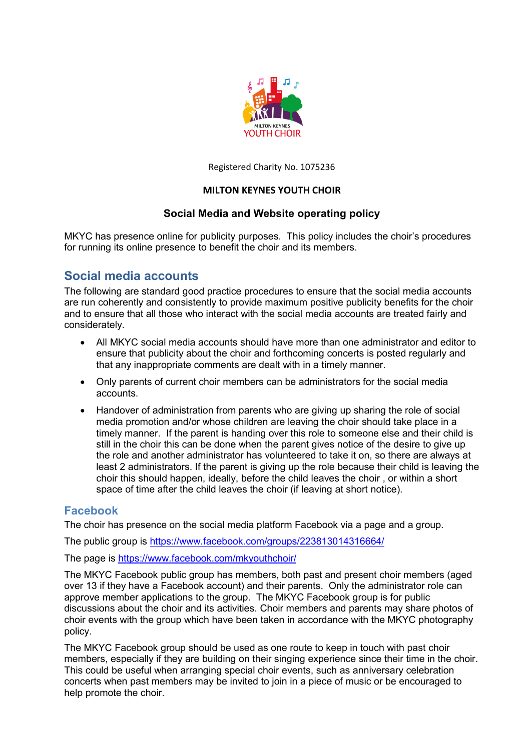

Registered Charity No. 1075236

#### **MILTON KEYNES YOUTH CHOIR**

### **Social Media and Website operating policy**

MKYC has presence online for publicity purposes. This policy includes the choir's procedures for running its online presence to benefit the choir and its members.

# **Social media accounts**

The following are standard good practice procedures to ensure that the social media accounts are run coherently and consistently to provide maximum positive publicity benefits for the choir and to ensure that all those who interact with the social media accounts are treated fairly and considerately.

- All MKYC social media accounts should have more than one administrator and editor to ensure that publicity about the choir and forthcoming concerts is posted regularly and that any inappropriate comments are dealt with in a timely manner.
- Only parents of current choir members can be administrators for the social media accounts.
- Handover of administration from parents who are giving up sharing the role of social media promotion and/or whose children are leaving the choir should take place in a timely manner. If the parent is handing over this role to someone else and their child is still in the choir this can be done when the parent gives notice of the desire to give up the role and another administrator has volunteered to take it on, so there are always at least 2 administrators. If the parent is giving up the role because their child is leaving the choir this should happen, ideally, before the child leaves the choir , or within a short space of time after the child leaves the choir (if leaving at short notice).

### **Facebook**

The choir has presence on the social media platform Facebook via a page and a group.

The public group is https://www.facebook.com/groups/223813014316664/

The page is https://www.facebook.com/mkyouthchoir/

The MKYC Facebook public group has members, both past and present choir members (aged over 13 if they have a Facebook account) and their parents. Only the administrator role can approve member applications to the group. The MKYC Facebook group is for public discussions about the choir and its activities. Choir members and parents may share photos of choir events with the group which have been taken in accordance with the MKYC photography policy.

The MKYC Facebook group should be used as one route to keep in touch with past choir members, especially if they are building on their singing experience since their time in the choir. This could be useful when arranging special choir events, such as anniversary celebration concerts when past members may be invited to join in a piece of music or be encouraged to help promote the choir.